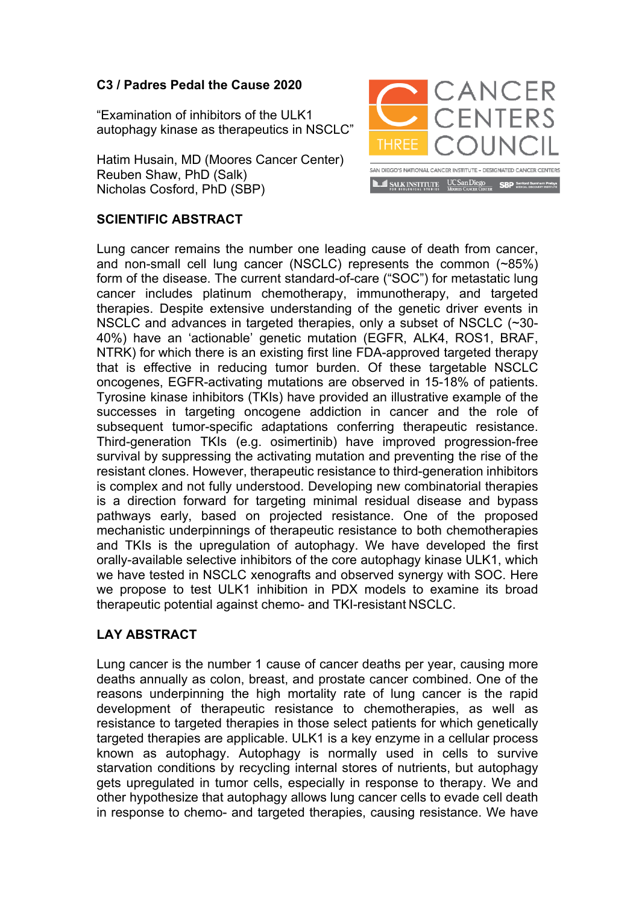## **C3 / Padres Pedal the Cause 2020**

"Examination of inhibitors of the ULK1 autophagy kinase as therapeutics in NSCLC"

Hatim Husain, MD (Moores Cancer Center) Reuben Shaw, PhD (Salk) Nicholas Cosford, PhD (SBP)



## **SCIENTIFIC ABSTRACT**

Lung cancer remains the number one leading cause of death from cancer, and non-small cell lung cancer (NSCLC) represents the common (~85%) form of the disease. The current standard-of-care ("SOC") for metastatic lung cancer includes platinum chemotherapy, immunotherapy, and targeted therapies. Despite extensive understanding of the genetic driver events in NSCLC and advances in targeted therapies, only a subset of NSCLC (~30- 40%) have an 'actionable' genetic mutation (EGFR, ALK4, ROS1, BRAF, NTRK) for which there is an existing first line FDA-approved targeted therapy that is effective in reducing tumor burden. Of these targetable NSCLC oncogenes, EGFR-activating mutations are observed in 15-18% of patients. Tyrosine kinase inhibitors (TKIs) have provided an illustrative example of the successes in targeting oncogene addiction in cancer and the role of subsequent tumor-specific adaptations conferring therapeutic resistance. Third-generation TKIs (e.g. osimertinib) have improved progression-free survival by suppressing the activating mutation and preventing the rise of the resistant clones. However, therapeutic resistance to third-generation inhibitors is complex and not fully understood. Developing new combinatorial therapies is a direction forward for targeting minimal residual disease and bypass pathways early, based on projected resistance. One of the proposed mechanistic underpinnings of therapeutic resistance to both chemotherapies and TKIs is the upregulation of autophagy. We have developed the first orally-available selective inhibitors of the core autophagy kinase ULK1, which we have tested in NSCLC xenografts and observed synergy with SOC. Here we propose to test ULK1 inhibition in PDX models to examine its broad therapeutic potential against chemo- and TKI-resistant NSCLC.

## **LAY ABSTRACT**

Lung cancer is the number 1 cause of cancer deaths per year, causing more deaths annually as colon, breast, and prostate cancer combined. One of the reasons underpinning the high mortality rate of lung cancer is the rapid development of therapeutic resistance to chemotherapies, as well as resistance to targeted therapies in those select patients for which genetically targeted therapies are applicable. ULK1 is a key enzyme in a cellular process known as autophagy. Autophagy is normally used in cells to survive starvation conditions by recycling internal stores of nutrients, but autophagy gets upregulated in tumor cells, especially in response to therapy. We and other hypothesize that autophagy allows lung cancer cells to evade cell death in response to chemo- and targeted therapies, causing resistance. We have